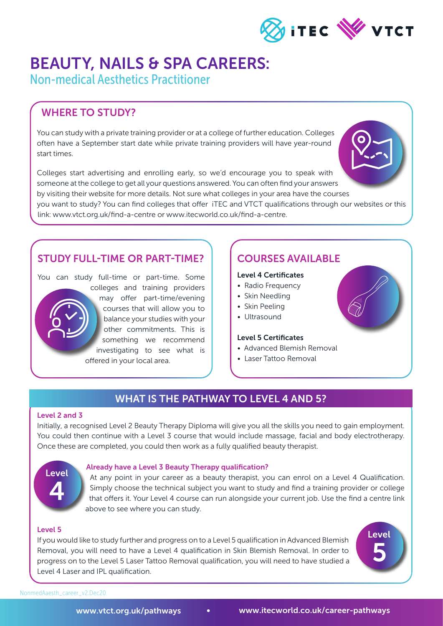

## BEAUTY, NAILS & SPA CAREERS:

Non-medical Aesthetics Practitioner

## WHERE TO STUDY?

You can study with a private training provider or at a college of further education. Colleges often have a September start date while private training providers will have year-round start times.

Colleges start advertising and enrolling early, so we'd encourage you to speak with someone at the college to get all your questions answered. You can often find your answers by visiting their website for more details. Not sure what colleges in your area have the courses you want to study? You can find colleges that offer iTEC and VTCT qualifications through our websites or this link: www.vtct.org.uk/find-a-centre or www.itecworld.co.uk/find-a-centre.

## STUDY FULL-TIME OR PART-TIME?

You can study full-time or part-time. Some colleges and training providers may offer part-time/evening courses that will allow you to balance your studies with your other commitments. This is something we recommend investigating to see what is offered in your local area.

### COURSES AVAILABLE

#### Level 4 Certificates

- Radio Frequency
- Skin Needling
- Skin Peeling
- Ultrasound

#### Level 5 Certificates

- Advanced Blemish Removal
- Laser Tattoo Removal

### WHAT IS THE PATHWAY TO LEVEL 4 AND 5?

#### Level 2 and 3

Initially, a recognised Level 2 Beauty Therapy Diploma will give you all the skills you need to gain employment. You could then continue with a Level 3 course that would include massage, facial and body electrotherapy. Once these are completed, you could then work as a fully qualified beauty therapist.

# Level 4

#### Already have a Level 3 Beauty Therapy qualification?

At any point in your career as a beauty therapist, you can enrol on a Level 4 Qualification. Simply choose the technical subject you want to study and find a training provider or college that offers it. Your Level 4 course can run alongside your current job. Use the find a centre link above to see where you can study.

#### Level 5

If you would like to study further and progress on to a Level 5 qualification in Advanced Blemish Removal, you will need to have a Level 4 qualification in Skin Blemish Removal. In order to progress on to the Level 5 Laser Tattoo Removal qualification, you will need to have studied a Level 4 Laser and IPL qualification.



NonmedAaesth\_career\_v2.Dec20